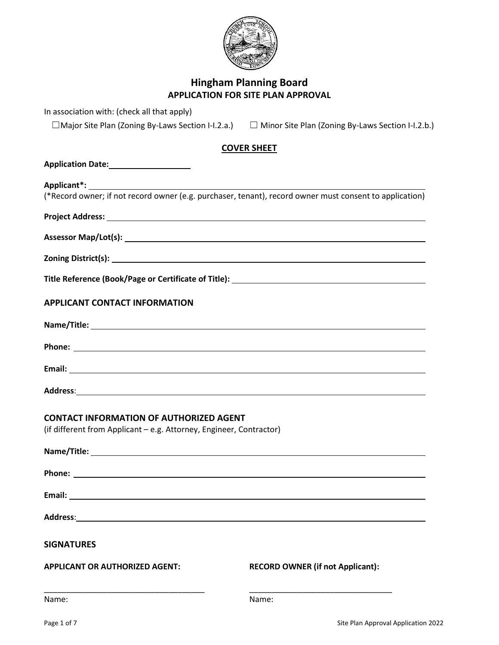

# **Hingham Planning Board APPLICATION FOR SITE PLAN APPROVAL**

In association with: (check all that apply)

☐Major Site Plan (Zoning By-Laws Section I-I.2.a.) ☐ Minor Site Plan (Zoning By-Laws Section I-I.2.b.)

## **COVER SHEET**

| Application Date: 2008. Application Date:                                                                                                                                                                                      |                                         |  |  |  |
|--------------------------------------------------------------------------------------------------------------------------------------------------------------------------------------------------------------------------------|-----------------------------------------|--|--|--|
|                                                                                                                                                                                                                                |                                         |  |  |  |
| (*Record owner; if not record owner (e.g. purchaser, tenant), record owner must consent to application)                                                                                                                        |                                         |  |  |  |
|                                                                                                                                                                                                                                |                                         |  |  |  |
|                                                                                                                                                                                                                                |                                         |  |  |  |
|                                                                                                                                                                                                                                |                                         |  |  |  |
|                                                                                                                                                                                                                                |                                         |  |  |  |
| <b>APPLICANT CONTACT INFORMATION</b>                                                                                                                                                                                           |                                         |  |  |  |
|                                                                                                                                                                                                                                |                                         |  |  |  |
|                                                                                                                                                                                                                                |                                         |  |  |  |
|                                                                                                                                                                                                                                |                                         |  |  |  |
| Address: Address: Address: Address: Address: Address: Address: Address: Address: Address: Address: Address: Address: Address: Address: Address: Address: Address: Address: Address: Address: Address: Address: Address: Addres |                                         |  |  |  |
| <b>CONTACT INFORMATION OF AUTHORIZED AGENT</b>                                                                                                                                                                                 |                                         |  |  |  |
| (if different from Applicant - e.g. Attorney, Engineer, Contractor)                                                                                                                                                            |                                         |  |  |  |
|                                                                                                                                                                                                                                |                                         |  |  |  |
|                                                                                                                                                                                                                                |                                         |  |  |  |
|                                                                                                                                                                                                                                |                                         |  |  |  |
| <b>Address:</b>                                                                                                                                                                                                                |                                         |  |  |  |
| <b>SIGNATURES</b>                                                                                                                                                                                                              |                                         |  |  |  |
| <b>APPLICANT OR AUTHORIZED AGENT:</b>                                                                                                                                                                                          | <b>RECORD OWNER (if not Applicant):</b> |  |  |  |
| Name:                                                                                                                                                                                                                          | Name:                                   |  |  |  |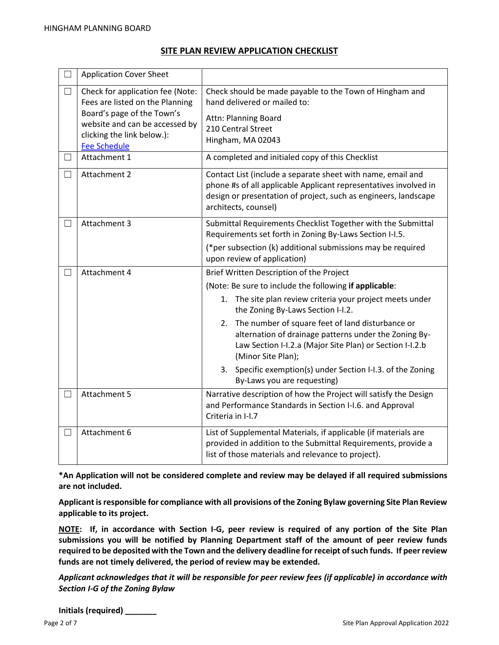## **SITE PLAN REVIEW APPLICATION CHECKLIST**

| ⊔           | <b>Application Cover Sheet</b>                                                                                                                                                                           |                                                                                                                                                                                                                            |
|-------------|----------------------------------------------------------------------------------------------------------------------------------------------------------------------------------------------------------|----------------------------------------------------------------------------------------------------------------------------------------------------------------------------------------------------------------------------|
| $\Box$<br>П | Check for application fee (Note:<br>Fees are listed on the Planning<br>Board's page of the Town's<br>website and can be accessed by<br>clicking the link below.):<br><b>Fee Schedule</b><br>Attachment 1 | Check should be made payable to the Town of Hingham and<br>hand delivered or mailed to:<br>Attn: Planning Board<br>210 Central Street<br>Hingham, MA 02043<br>A completed and initialed copy of this Checklist             |
| П           | Attachment 2                                                                                                                                                                                             | Contact List (include a separate sheet with name, email and<br>phone #s of all applicable Applicant representatives involved in<br>design or presentation of project, such as engineers, landscape<br>architects, counsel) |
|             | Attachment 3                                                                                                                                                                                             | Submittal Requirements Checklist Together with the Submittal<br>Requirements set forth in Zoning By-Laws Section I-I.5.<br>(*per subsection (k) additional submissions may be required<br>upon review of application)      |
| l 1         | Attachment 4                                                                                                                                                                                             | Brief Written Description of the Project                                                                                                                                                                                   |
|             |                                                                                                                                                                                                          | (Note: Be sure to include the following if applicable:                                                                                                                                                                     |
|             |                                                                                                                                                                                                          | 1. The site plan review criteria your project meets under<br>the Zoning By-Laws Section I-I.2.                                                                                                                             |
|             |                                                                                                                                                                                                          | 2. The number of square feet of land disturbance or<br>alternation of drainage patterns under the Zoning By-<br>Law Section I-I.2.a (Major Site Plan) or Section I-I.2.b<br>(Minor Site Plan);                             |
|             |                                                                                                                                                                                                          | 3. Specific exemption(s) under Section I-I.3. of the Zoning<br>By-Laws you are requesting)                                                                                                                                 |
| $\Box$      | <b>Attachment 5</b>                                                                                                                                                                                      | Narrative description of how the Project will satisfy the Design<br>and Performance Standards in Section I-I.6. and Approval<br>Criteria in I-I.7                                                                          |
| $\Box$      | Attachment 6                                                                                                                                                                                             | List of Supplemental Materials, if applicable (if materials are<br>provided in addition to the Submittal Requirements, provide a<br>list of those materials and relevance to project).                                     |

**\*An Application will not be considered complete and review may be delayed if all required submissions are not included.**

**Applicant is responsible for compliance with all provisions of the Zoning Bylaw governing Site Plan Review applicable to its project.**

**NOTE: If, in accordance with Section I-G, peer review is required of any portion of the Site Plan submissions you will be notified by Planning Department staff of the amount of peer review funds required to be deposited with the Town and the delivery deadline for receipt of such funds. If peer review funds are not timely delivered, the period of review may be extended.**

*Applicant acknowledges that it will be responsible for peer review fees (if applicable) in accordance with Section I-G of the Zoning Bylaw*

**Initials (required) \_\_\_\_\_\_\_**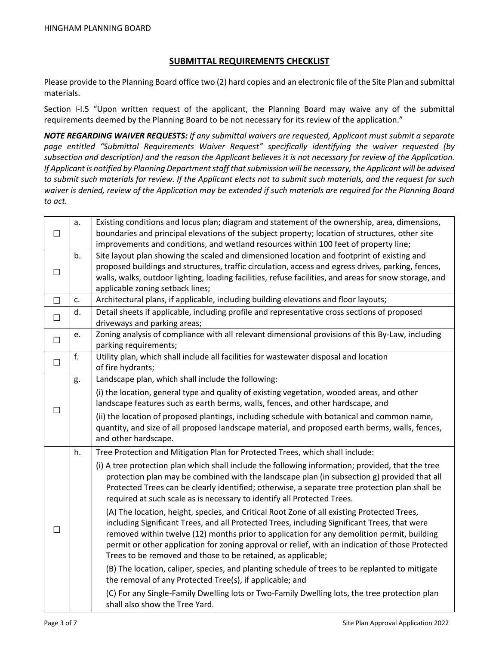### **SUBMITTAL REQUIREMENTS CHECKLIST**

Please provide to the Planning Board office two (2) hard copies and an electronic file of the Site Plan and submittal materials.

Section I-I.5 "Upon written request of the applicant, the Planning Board may waive any of the submittal requirements deemed by the Planning Board to be not necessary for its review of the application."

*NOTE REGARDING WAIVER REQUESTS: If any submittal waivers are requested, Applicant must submit a separate page entitled "Submittal Requirements Waiver Request" specifically identifying the waiver requested (by subsection and description) and the reason the Applicant believes it is not necessary for review of the Application. If Applicant is notified by Planning Department staff that submission will be necessary, the Applicant will be advised to submit such materials for review. If the Applicant elects not to submit such materials, and the request for such waiver is denied, review of the Application may be extended if such materials are required for the Planning Board to act.*

| $\Box$ | a. | Existing conditions and locus plan; diagram and statement of the ownership, area, dimensions,<br>boundaries and principal elevations of the subject property; location of structures, other site<br>improvements and conditions, and wetland resources within 100 feet of property line;                                                                                                                                                                     |
|--------|----|--------------------------------------------------------------------------------------------------------------------------------------------------------------------------------------------------------------------------------------------------------------------------------------------------------------------------------------------------------------------------------------------------------------------------------------------------------------|
| $\Box$ | b. | Site layout plan showing the scaled and dimensioned location and footprint of existing and<br>proposed buildings and structures, traffic circulation, access and egress drives, parking, fences,<br>walls, walks, outdoor lighting, loading facilities, refuse facilities, and areas for snow storage, and<br>applicable zoning setback lines;                                                                                                               |
| $\Box$ | c. | Architectural plans, if applicable, including building elevations and floor layouts;                                                                                                                                                                                                                                                                                                                                                                         |
| $\Box$ | d. | Detail sheets if applicable, including profile and representative cross sections of proposed<br>driveways and parking areas;                                                                                                                                                                                                                                                                                                                                 |
| $\Box$ | e. | Zoning analysis of compliance with all relevant dimensional provisions of this By-Law, including<br>parking requirements;                                                                                                                                                                                                                                                                                                                                    |
| $\Box$ | f. | Utility plan, which shall include all facilities for wastewater disposal and location<br>of fire hydrants;                                                                                                                                                                                                                                                                                                                                                   |
| □      | g. | Landscape plan, which shall include the following:                                                                                                                                                                                                                                                                                                                                                                                                           |
|        |    | (i) the location, general type and quality of existing vegetation, wooded areas, and other<br>landscape features such as earth berms, walls, fences, and other hardscape, and                                                                                                                                                                                                                                                                                |
|        |    | (ii) the location of proposed plantings, including schedule with botanical and common name,<br>quantity, and size of all proposed landscape material, and proposed earth berms, walls, fences,<br>and other hardscape.                                                                                                                                                                                                                                       |
|        | h. | Tree Protection and Mitigation Plan for Protected Trees, which shall include:                                                                                                                                                                                                                                                                                                                                                                                |
|        |    | (i) A tree protection plan which shall include the following information; provided, that the tree<br>protection plan may be combined with the landscape plan (in subsection g) provided that all<br>Protected Trees can be clearly identified; otherwise, a separate tree protection plan shall be<br>required at such scale as is necessary to identify all Protected Trees.                                                                                |
| □      |    | (A) The location, height, species, and Critical Root Zone of all existing Protected Trees,<br>including Significant Trees, and all Protected Trees, including Significant Trees, that were<br>removed within twelve (12) months prior to application for any demolition permit, building<br>permit or other application for zoning approval or relief, with an indication of those Protected<br>Trees to be removed and those to be retained, as applicable; |
|        |    | (B) The location, caliper, species, and planting schedule of trees to be replanted to mitigate<br>the removal of any Protected Tree(s), if applicable; and                                                                                                                                                                                                                                                                                                   |
|        |    | (C) For any Single-Family Dwelling lots or Two-Family Dwelling lots, the tree protection plan<br>shall also show the Tree Yard.                                                                                                                                                                                                                                                                                                                              |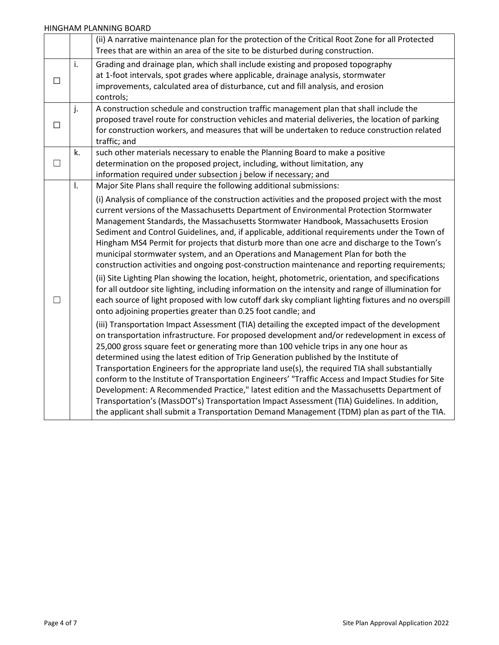#### HINGHAM PLANNING BOARD

|                          |    | (ii) A narrative maintenance plan for the protection of the Critical Root Zone for all Protected              |
|--------------------------|----|---------------------------------------------------------------------------------------------------------------|
|                          |    | Trees that are within an area of the site to be disturbed during construction.                                |
|                          | i. | Grading and drainage plan, which shall include existing and proposed topography                               |
| $\Box$                   |    | at 1-foot intervals, spot grades where applicable, drainage analysis, stormwater                              |
|                          |    | improvements, calculated area of disturbance, cut and fill analysis, and erosion                              |
|                          |    | controls;                                                                                                     |
| $\Box$                   | j. | A construction schedule and construction traffic management plan that shall include the                       |
|                          |    | proposed travel route for construction vehicles and material deliveries, the location of parking              |
|                          |    | for construction workers, and measures that will be undertaken to reduce construction related<br>traffic; and |
|                          | k. | such other materials necessary to enable the Planning Board to make a positive                                |
| $\Box$                   |    | determination on the proposed project, including, without limitation, any                                     |
|                          |    | information required under subsection j below if necessary; and                                               |
|                          | I. | Major Site Plans shall require the following additional submissions:                                          |
|                          |    | (i) Analysis of compliance of the construction activities and the proposed project with the most              |
|                          |    | current versions of the Massachusetts Department of Environmental Protection Stormwater                       |
|                          |    | Management Standards, the Massachusetts Stormwater Handbook, Massachusetts Erosion                            |
|                          |    | Sediment and Control Guidelines, and, if applicable, additional requirements under the Town of                |
|                          |    | Hingham MS4 Permit for projects that disturb more than one acre and discharge to the Town's                   |
|                          |    | municipal stormwater system, and an Operations and Management Plan for both the                               |
|                          |    | construction activities and ongoing post-construction maintenance and reporting requirements;                 |
|                          |    | (ii) Site Lighting Plan showing the location, height, photometric, orientation, and specifications            |
|                          |    | for all outdoor site lighting, including information on the intensity and range of illumination for           |
| $\overline{\phantom{a}}$ |    | each source of light proposed with low cutoff dark sky compliant lighting fixtures and no overspill           |
|                          |    | onto adjoining properties greater than 0.25 foot candle; and                                                  |
|                          |    | (iii) Transportation Impact Assessment (TIA) detailing the excepted impact of the development                 |
|                          |    | on transportation infrastructure. For proposed development and/or redevelopment in excess of                  |
|                          |    | 25,000 gross square feet or generating more than 100 vehicle trips in any one hour as                         |
|                          |    | determined using the latest edition of Trip Generation published by the Institute of                          |
|                          |    | Transportation Engineers for the appropriate land use(s), the required TIA shall substantially                |
|                          |    | conform to the Institute of Transportation Engineers' "Traffic Access and Impact Studies for Site             |
|                          |    | Development: A Recommended Practice," latest edition and the Massachusetts Department of                      |
|                          |    | Transportation's (MassDOT's) Transportation Impact Assessment (TIA) Guidelines. In addition,                  |
|                          |    | the applicant shall submit a Transportation Demand Management (TDM) plan as part of the TIA.                  |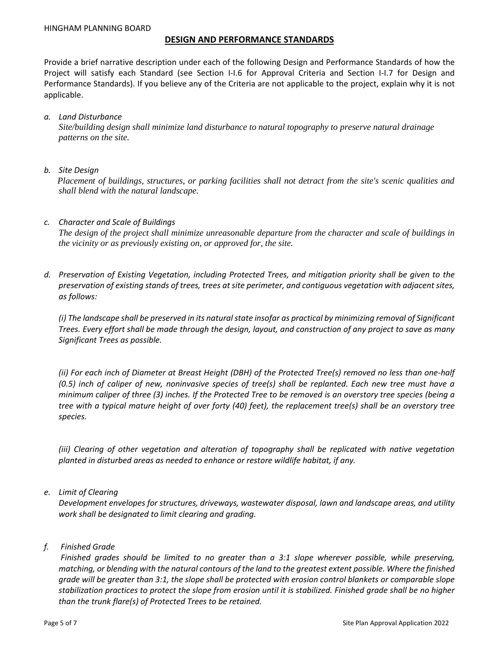### **DESIGN AND PERFORMANCE STANDARDS**

Provide a brief narrative description under each of the following Design and Performance Standards of how the Project will satisfy each Standard (see Section I-I.6 for Approval Criteria and Section I-I.7 for Design and Performance Standards). If you believe any of the Criteria are not applicable to the project, explain why it is not applicable.

#### *a. Land Disturbance*

*Site/building design shall minimize land disturbance to natural topography to preserve natural drainage patterns on the site.*

### *b. Site Design*

 *Placement of buildings, structures, or parking facilities shall not detract from the site's scenic qualities and shall blend with the natural landscape.*

### *c. Character and Scale of Buildings*

*The design of the project shall minimize unreasonable departure from the character and scale of buildings in the vicinity or as previously existing on, or approved for, the site.*

*d. Preservation of Existing Vegetation, including Protected Trees, and mitigation priority shall be given to the preservation of existing stands of trees, trees at site perimeter, and contiguous vegetation with adjacent sites, as follows:*

*(i) The landscape shall be preserved in its natural state insofar as practical by minimizing removal of Significant Trees. Every effort shall be made through the design, layout, and construction of any project to save as many Significant Trees as possible.*

*(ii) For each inch of Diameter at Breast Height (DBH) of the Protected Tree(s) removed no less than one-half (0.5) inch of caliper of new, noninvasive species of tree(s) shall be replanted. Each new tree must have a minimum caliper of three (3) inches. If the Protected Tree to be removed is an overstory tree species (being a tree with a typical mature height of over forty (40) feet), the replacement tree(s) shall be an overstory tree species.*

*(iii) Clearing of other vegetation and alteration of topography shall be replicated with native vegetation planted in disturbed areas as needed to enhance or restore wildlife habitat, if any.*

*e. Limit of Clearing*

*Development envelopes for structures, driveways, wastewater disposal, lawn and landscape areas, and utility work shall be designated to limit clearing and grading.*

### *f. Finished Grade*

*Finished grades should be limited to no greater than a 3:1 slope wherever possible, while preserving, matching, or blending with the natural contours of the land to the greatest extent possible. Where the finished grade will be greater than 3:1, the slope shall be protected with erosion control blankets or comparable slope stabilization practices to protect the slope from erosion until it is stabilized. Finished grade shall be no higher than the trunk flare(s) of Protected Trees to be retained.*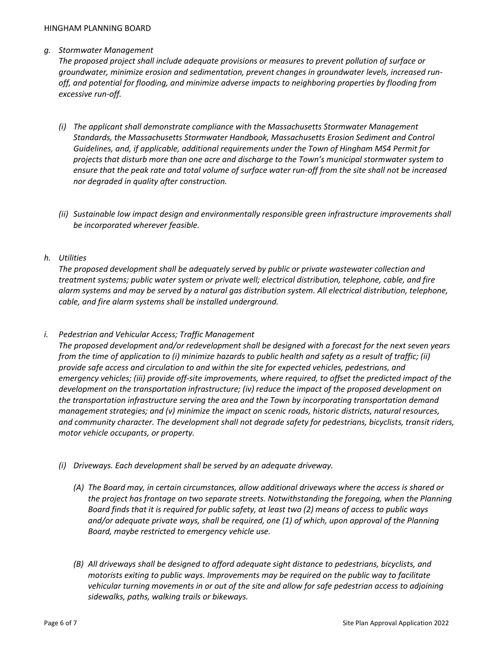#### *g. Stormwater Management*

*The proposed project shall include adequate provisions or measures to prevent pollution of surface or groundwater, minimize erosion and sedimentation, prevent changes in groundwater levels, increased runoff, and potential for flooding, and minimize adverse impacts to neighboring properties by flooding from excessive run-off.*

- *(i) The applicant shall demonstrate compliance with the Massachusetts Stormwater Management Standards, the Massachusetts Stormwater Handbook, Massachusetts Erosion Sediment and Control Guidelines, and, if applicable, additional requirements under the Town of Hingham MS4 Permit for projects that disturb more than one acre and discharge to the Town's municipal stormwater system to ensure that the peak rate and total volume of surface water run-off from the site shall not be increased nor degraded in quality after construction.*
- *(ii) Sustainable low impact design and environmentally responsible green infrastructure improvements shall be incorporated wherever feasible.*

### *h. Utilities*

*The proposed development shall be adequately served by public or private wastewater collection and treatment systems; public water system or private well; electrical distribution, telephone, cable, and fire alarm systems and may be served by a natural gas distribution system. All electrical distribution, telephone, cable, and fire alarm systems shall be installed underground.*

### *i. Pedestrian and Vehicular Access; Traffic Management*

*The proposed development and/or redevelopment shall be designed with a forecast for the next seven years from the time of application to (i) minimize hazards to public health and safety as a result of traffic; (ii) provide safe access and circulation to and within the site for expected vehicles, pedestrians, and emergency vehicles; (iii) provide off-site improvements, where required, to offset the predicted impact of the development on the transportation infrastructure; (iv) reduce the impact of the proposed development on the transportation infrastructure serving the area and the Town by incorporating transportation demand management strategies; and (v) minimize the impact on scenic roads, historic districts, natural resources, and community character. The development shall not degrade safety for pedestrians, bicyclists, transit riders, motor vehicle occupants, or property.*

- *(i) Driveways. Each development shall be served by an adequate driveway.*
	- *(A) The Board may, in certain circumstances, allow additional driveways where the access is shared or the project has frontage on two separate streets. Notwithstanding the foregoing, when the Planning Board finds that it is required for public safety, at least two (2) means of access to public ways and/or adequate private ways, shall be required, one (1) of which, upon approval of the Planning Board, maybe restricted to emergency vehicle use.*
	- *(B) All driveways shall be designed to afford adequate sight distance to pedestrians, bicyclists, and motorists exiting to public ways. Improvements may be required on the public way to facilitate vehicular turning movements in or out of the site and allow for safe pedestrian access to adjoining sidewalks, paths, walking trails or bikeways.*